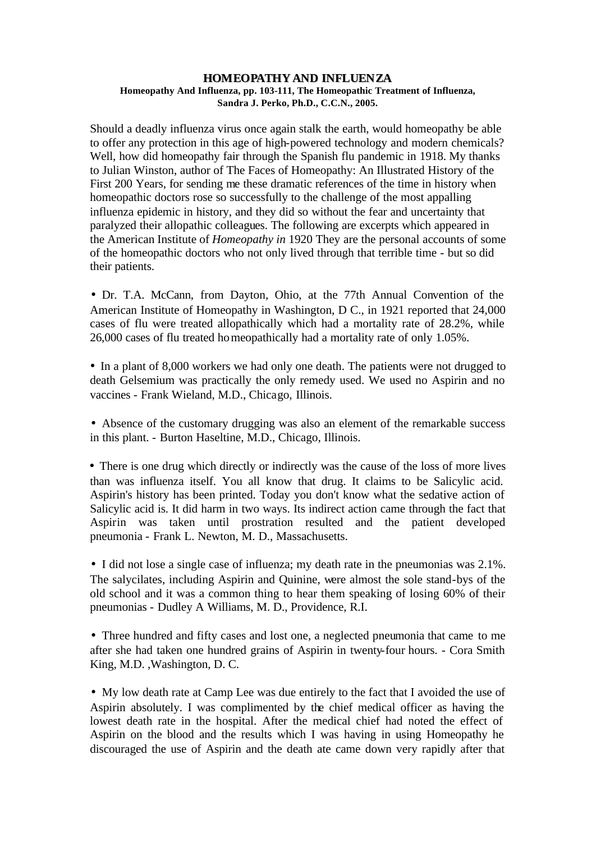## **HOMEOPATHY AND INFLUENZA Homeopathy And Influenza, pp. 103-111, The Homeopathic Treatment of Influenza, Sandra J. Perko, Ph.D., C.C.N., 2005.**

Should a deadly influenza virus once again stalk the earth, would homeopathy be able to offer any protection in this age of high-powered technology and modern chemicals? Well, how did homeopathy fair through the Spanish flu pandemic in 1918. My thanks to Julian Winston, author of The Faces of Homeopathy: An Illustrated History of the First 200 Years, for sending me these dramatic references of the time in history when homeopathic doctors rose so successfully to the challenge of the most appalling influenza epidemic in history, and they did so without the fear and uncertainty that paralyzed their allopathic colleagues. The following are excerpts which appeared in the American Institute of *Homeopathy in* 1920 They are the personal accounts of some of the homeopathic doctors who not only lived through that terrible time - but so did their patients.

Dr. T.A. McCann, from Dayton, Ohio, at the 77th Annual Convention of the American Institute of Homeopathy in Washington, D C., in 1921 reported that 24,000 cases of flu were treated allopathically which had a mortality rate of 28.2%, while 26,000 cases of flu treated homeopathically had a mortality rate of only 1.05%.

In a plant of 8,000 workers we had only one death. The patients were not drugged to death Gelsemium was practically the only remedy used. We used no Aspirin and no vaccines - Frank Wieland, M.D., Chicago, Illinois.

Absence of the customary drugging was also an element of the remarkable success in this plant. - Burton Haseltine, M.D., Chicago, Illinois.

There is one drug which directly or indirectly was the cause of the loss of more lives than was influenza itself. You all know that drug. It claims to be Salicylic acid. Aspirin's history has been printed. Today you don't know what the sedative action of Salicylic acid is. It did harm in two ways. Its indirect action came through the fact that Aspirin was taken until prostration resulted and the patient developed pneumonia - Frank L. Newton, M. D., Massachusetts.

I did not lose a single case of influenza; my death rate in the pneumonias was 2.1%. The salycilates, including Aspirin and Quinine, were almost the sole stand-bys of the old school and it was a common thing to hear them speaking of losing 60% of their pneumonias - Dudley A Williams, M. D., Providence, R.I.

Three hundred and fifty cases and lost one, a neglected pneumonia that came to me after she had taken one hundred grains of Aspirin in twenty-four hours. - Cora Smith King, M.D. ,Washington, D. C.

My low death rate at Camp Lee was due entirely to the fact that I avoided the use of Aspirin absolutely. I was complimented by the chief medical officer as having the lowest death rate in the hospital. After the medical chief had noted the effect of Aspirin on the blood and the results which I was having in using Homeopathy he discouraged the use of Aspirin and the death ate came down very rapidly after that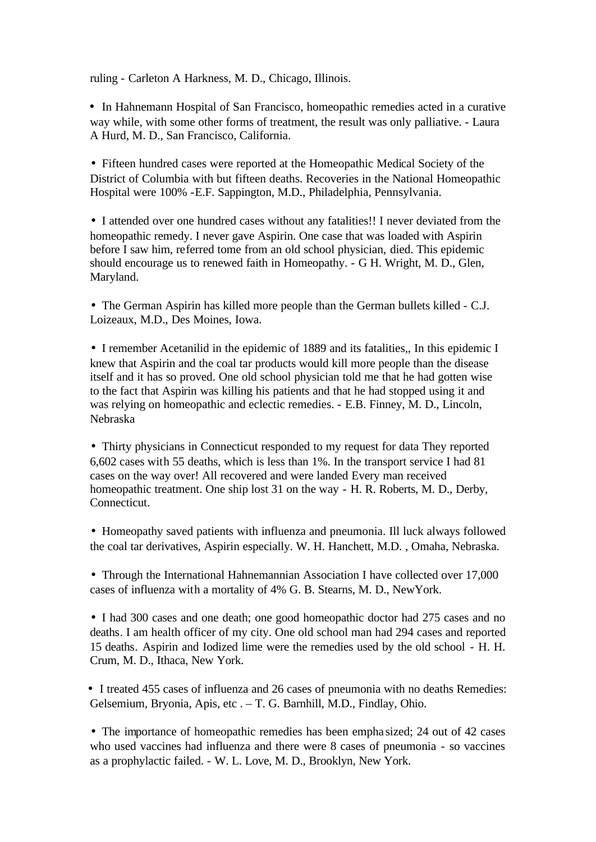ruling - Carleton A Harkness, M. D., Chicago, Illinois.

In Hahnemann Hospital of San Francisco, homeopathic remedies acted in a curative way while, with some other forms of treatment, the result was only palliative. - Laura A Hurd, M. D., San Francisco, California.

Fifteen hundred cases were reported at the Homeopathic Medical Society of the District of Columbia with but fifteen deaths. Recoveries in the National Homeopathic Hospital were 100% -E.F. Sappington, M.D., Philadelphia, Pennsylvania.

I attended over one hundred cases without any fatalities!! I never deviated from the homeopathic remedy. I never gave Aspirin. One case that was loaded with Aspirin before I saw him, referred tome from an old school physician, died. This epidemic should encourage us to renewed faith in Homeopathy. - G H. Wright, M. D., Glen, Maryland.

The German Aspirin has killed more people than the German bullets killed - C.J. Loizeaux, M.D., Des Moines, Iowa.

I remember Acetanilid in the epidemic of 1889 and its fatalities,, In this epidemic I knew that Aspirin and the coal tar products would kill more people than the disease itself and it has so proved. One old school physician told me that he had gotten wise to the fact that Aspirin was killing his patients and that he had stopped using it and was relying on homeopathic and eclectic remedies. - E.B. Finney, M. D., Lincoln, Nebraska

Thirty physicians in Connecticut responded to my request for data They reported 6,602 cases with 55 deaths, which is less than 1%. In the transport service I had 81 cases on the way over! All recovered and were landed Every man received homeopathic treatment. One ship lost 31 on the way - H. R. Roberts, M. D., Derby, Connecticut.

Homeopathy saved patients with influenza and pneumonia. Ill luck always followed the coal tar derivatives, Aspirin especially. W. H. Hanchett, M.D. , Omaha, Nebraska.

Through the International Hahnemannian Association I have collected over 17,000 cases of influenza with a mortality of 4% G. B. Stearns, M. D., NewYork.

I had 300 cases and one death; one good homeopathic doctor had 275 cases and no deaths. I am health officer of my city. One old school man had 294 cases and reported 15 deaths. Aspirin and Iodized lime were the remedies used by the old school - H. H. Crum, M. D., Ithaca, New York.

I treated 455 cases of influenza and 26 cases of pneumonia with no deaths Remedies: Gelsemium, Bryonia, Apis, etc . – T. G. Barnhill, M.D., Findlay, Ohio.

The importance of homeopathic remedies has been empha sized; 24 out of 42 cases who used vaccines had influenza and there were 8 cases of pneumonia - so vaccines as a prophylactic failed. - W. L. Love, M. D., Brooklyn, New York.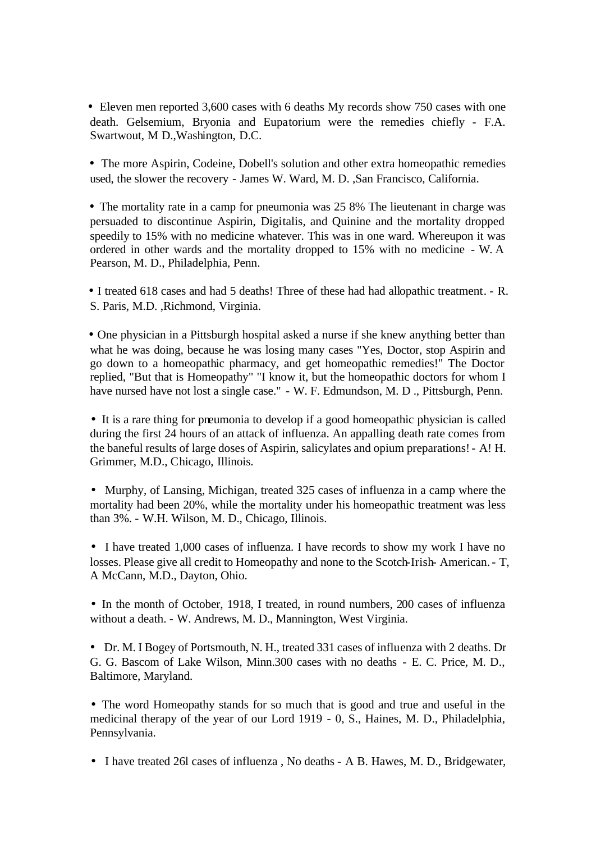Eleven men reported 3,600 cases with 6 deaths My records show 750 cases with one death. Gelsemium, Bryonia and Eupatorium were the remedies chiefly - F.A. Swartwout, M D.,Washington, D.C.

The more Aspirin, Codeine, Dobell's solution and other extra homeopathic remedies used, the slower the recovery - James W. Ward, M. D. ,San Francisco, California.

The mortality rate in a camp for pneumonia was 25 8% The lieutenant in charge was persuaded to discontinue Aspirin, Digitalis, and Quinine and the mortality dropped speedily to 15% with no medicine whatever. This was in one ward. Whereupon it was ordered in other wards and the mortality dropped to 15% with no medicine - W. A Pearson, M. D., Philadelphia, Penn.

I treated 618 cases and had 5 deaths! Three of these had had allopathic treatment. - R. S. Paris, M.D. ,Richmond, Virginia.

One physician in a Pittsburgh hospital asked a nurse if she knew anything better than what he was doing, because he was losing many cases "Yes, Doctor, stop Aspirin and go down to a homeopathic pharmacy, and get homeopathic remedies!" The Doctor replied, "But that is Homeopathy" "I know it, but the homeopathic doctors for whom I have nursed have not lost a single case." - W. F. Edmundson, M. D ., Pittsburgh, Penn.

It is a rare thing for pneumonia to develop if a good homeopathic physician is called during the first 24 hours of an attack of influenza. An appalling death rate comes from the baneful results of large doses of Aspirin, salicylates and opium preparations! - A! H. Grimmer, M.D., Chicago, Illinois.

Murphy, of Lansing, Michigan, treated 325 cases of influenza in a camp where the mortality had been 20%, while the mortality under his homeopathic treatment was less than 3%. - W.H. Wilson, M. D., Chicago, Illinois.

I have treated 1,000 cases of influenza. I have records to show my work I have no losses. Please give all credit to Homeopathy and none to the Scotch-Irish- American. - T, A McCann, M.D., Dayton, Ohio.

In the month of October, 1918, I treated, in round numbers, 200 cases of influenza without a death. - W. Andrews, M. D., Mannington, West Virginia.

Dr. M. I Bogey of Portsmouth, N. H., treated 331 cases of influenza with 2 deaths. Dr G. G. Bascom of Lake Wilson, Minn.300 cases with no deaths - E. C. Price, M. D., Baltimore, Maryland.

The word Homeopathy stands for so much that is good and true and useful in the medicinal therapy of the year of our Lord 1919 - 0, S., Haines, M. D., Philadelphia, Pennsylvania.

I have treated 26l cases of influenza , No deaths - A B. Hawes, M. D., Bridgewater,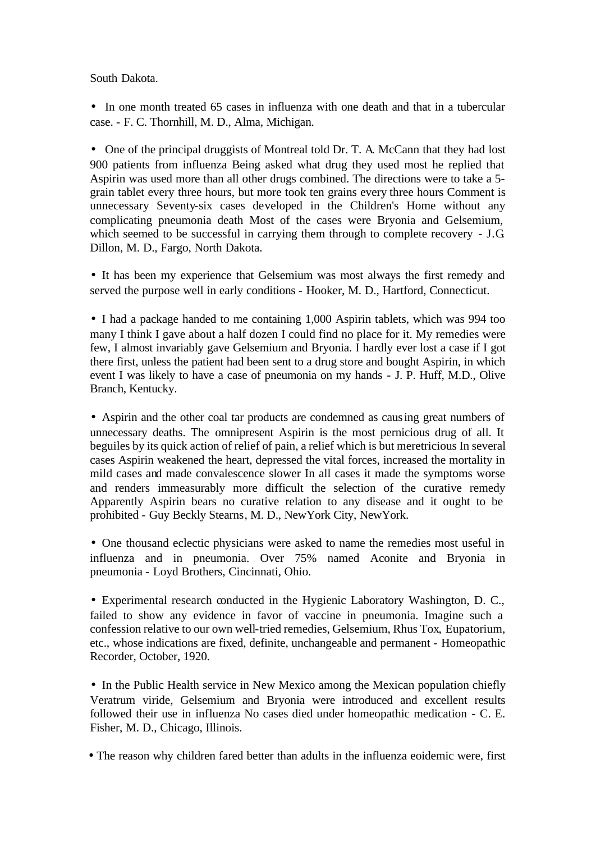South Dakota.

In one month treated 65 cases in influenza with one death and that in a tubercular case. - F. C. Thornhill, M. D., Alma, Michigan.

One of the principal druggists of Montreal told Dr. T. A. McCann that they had lost 900 patients from influenza Being asked what drug they used most he replied that Aspirin was used more than all other drugs combined. The directions were to take a 5 grain tablet every three hours, but more took ten grains every three hours Comment is unnecessary Seventy-six cases developed in the Children's Home without any complicating pneumonia death Most of the cases were Bryonia and Gelsemium, which seemed to be successful in carrying them through to complete recovery - J.G. Dillon, M. D., Fargo, North Dakota.

It has been my experience that Gelsemium was most always the first remedy and served the purpose well in early conditions - Hooker, M. D., Hartford, Connecticut.

I had a package handed to me containing 1,000 Aspirin tablets, which was 994 too many I think I gave about a half dozen I could find no place for it. My remedies were few, I almost invariably gave Gelsemium and Bryonia. I hardly ever lost a case if I got there first, unless the patient had been sent to a drug store and bought Aspirin, in which event I was likely to have a case of pneumonia on my hands - J. P. Huff, M.D., Olive Branch, Kentucky.

Aspirin and the other coal tar products are condemned as causing great numbers of unnecessary deaths. The omnipresent Aspirin is the most pernicious drug of all. It beguiles by its quick action of relief of pain, a relief which is but meretricious In several cases Aspirin weakened the heart, depressed the vital forces, increased the mortality in mild cases and made convalescence slower In all cases it made the symptoms worse and renders immeasurably more difficult the selection of the curative remedy Apparently Aspirin bears no curative relation to any disease and it ought to be prohibited - Guy Beckly Stearns, M. D., NewYork City, NewYork.

One thousand eclectic physicians were asked to name the remedies most useful in influenza and in pneumonia. Over 75% named Aconite and Bryonia in pneumonia - Loyd Brothers, Cincinnati, Ohio.

Experimental research conducted in the Hygienic Laboratory Washington, D. C., failed to show any evidence in favor of vaccine in pneumonia. Imagine such a confession relative to our own well-tried remedies, Gelsemium, Rhus Tox, Eupatorium, etc., whose indications are fixed, definite, unchangeable and permanent - Homeopathic Recorder, October, 1920.

In the Public Health service in New Mexico among the Mexican population chiefly Veratrum viride, Gelsemium and Bryonia were introduced and excellent results followed their use in influenza No cases died under homeopathic medication - C. E. Fisher, M. D., Chicago, Illinois.

The reason why children fared better than adults in the influenza eoidemic were, first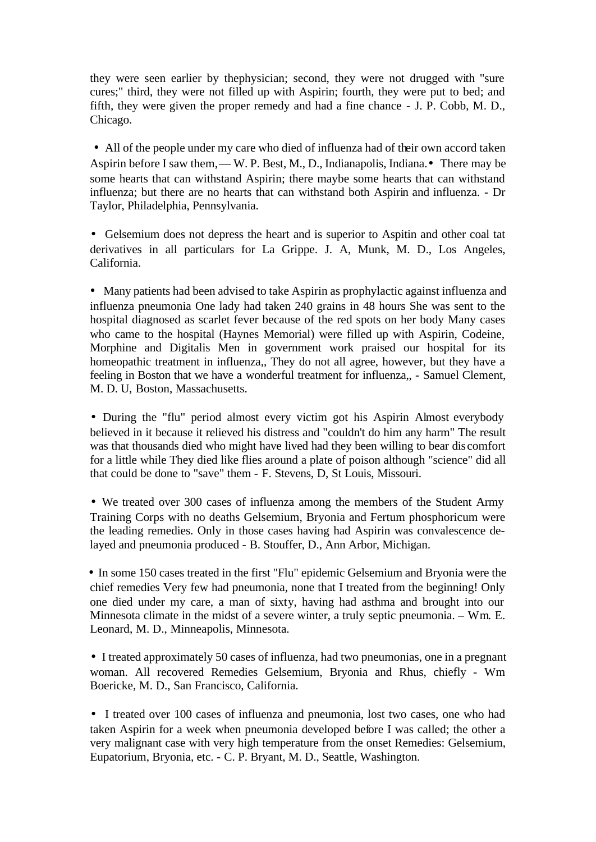they were seen earlier by thephysician; second, they were not drugged with "sure cures;" third, they were not filled up with Aspirin; fourth, they were put to bed; and fifth, they were given the proper remedy and had a fine chance - J. P. Cobb, M. D., Chicago.

All of the people under my care who died of influenza had of their own accord taken Aspirin before I saw them, — W. P. Best, M., D., Indianapolis, Indiana. There may be some hearts that can withstand Aspirin; there maybe some hearts that can withstand influenza; but there are no hearts that can withstand both Aspirin and influenza. - Dr Taylor, Philadelphia, Pennsylvania.

Gelsemium does not depress the heart and is superior to Aspitin and other coal tat derivatives in all particulars for La Grippe. J. A, Munk, M. D., Los Angeles, California.

Many patients had been advised to take Aspirin as prophylactic against influenza and influenza pneumonia One lady had taken 240 grains in 48 hours She was sent to the hospital diagnosed as scarlet fever because of the red spots on her body Many cases who came to the hospital (Haynes Memorial) were filled up with Aspirin, Codeine, Morphine and Digitalis Men in government work praised our hospital for its homeopathic treatment in influenza,, They do not all agree, however, but they have a feeling in Boston that we have a wonderful treatment for influenza,, - Samuel Clement, M. D. U, Boston, Massachusetts.

During the "flu" period almost every victim got his Aspirin Almost everybody believed in it because it relieved his distress and "couldn't do him any harm" The result was that thousands died who might have lived had they been willing to bear dis comfort for a little while They died like flies around a plate of poison although "science" did all that could be done to "save" them - F. Stevens, D, St Louis, Missouri.

We treated over 300 cases of influenza among the members of the Student Army Training Corps with no deaths Gelsemium, Bryonia and Fertum phosphoricum were the leading remedies. Only in those cases having had Aspirin was convalescence delayed and pneumonia produced - B. Stouffer, D., Ann Arbor, Michigan.

In some 150 cases treated in the first "Flu" epidemic Gelsemium and Bryonia were the chief remedies Very few had pneumonia, none that I treated from the beginning! Only one died under my care, a man of sixty, having had asthma and brought into our Minnesota climate in the midst of a severe winter, a truly septic pneumonia. – Wm. E. Leonard, M. D., Minneapolis, Minnesota.

I treated approximately 50 cases of influenza, had two pneumonias, one in a pregnant woman. All recovered Remedies Gelsemium, Bryonia and Rhus, chiefly - Wm Boericke, M. D., San Francisco, California.

I treated over 100 cases of influenza and pneumonia, lost two cases, one who had taken Aspirin for a week when pneumonia developed before I was called; the other a very malignant case with very high temperature from the onset Remedies: Gelsemium, Eupatorium, Bryonia, etc. - C. P. Bryant, M. D., Seattle, Washington.